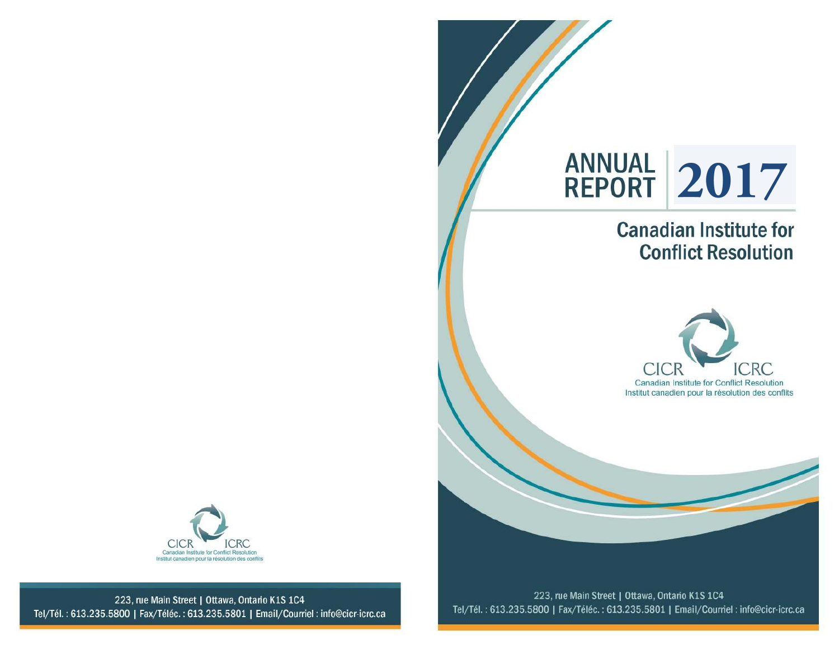

## **Canadian Institute for Conflict Resolution**





223, rue Main Street | Ottawa, Ontario K1S 1C4 Tel/Tél.: 613.235.5800 | Fax/Téléc.: 613.235.5801 | Email/Courriel: info@cicr-icrc.ca

223, rue Main Street | Ottawa, Ontario K1S 1C4 Tel/Tél.: 613.235.5800 | Fax/Téléc.: 613.235.5801 | Email/Courriel: info@cicr-icrc.ca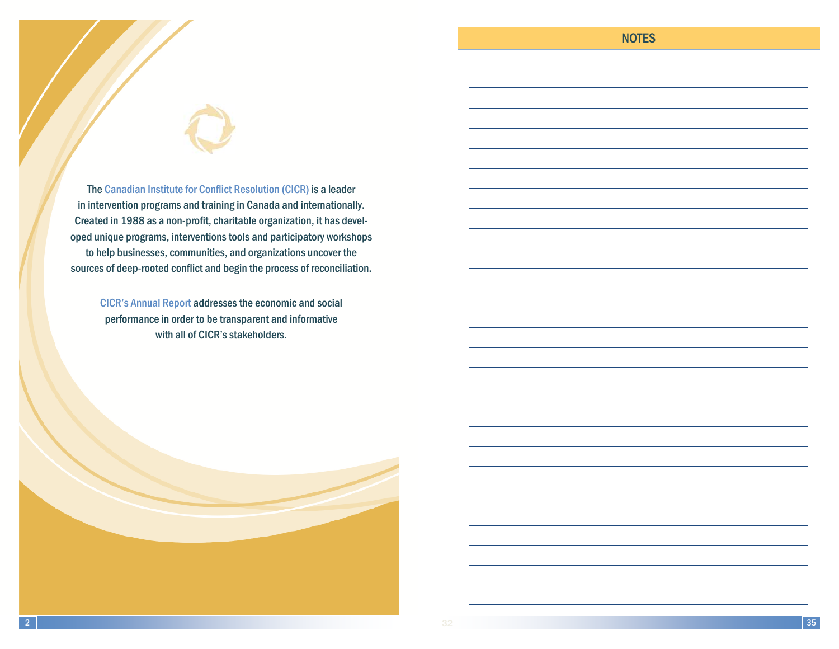The Canadian Institute for Conflict Resolution (CICR) is a leader in intervention programs and training in Canada and internationally. Created in 1988 as a non-profit, charitable organization, it has developed unique programs, interventions tools and participatory workshops to help businesses, communities, and organizations uncover the sources of deep-rooted conflict and begin the process of reconciliation.

CICR's Annual Report addresses the economic and social performance in order to be transparent and informative with all of CICR's stakeholders.

2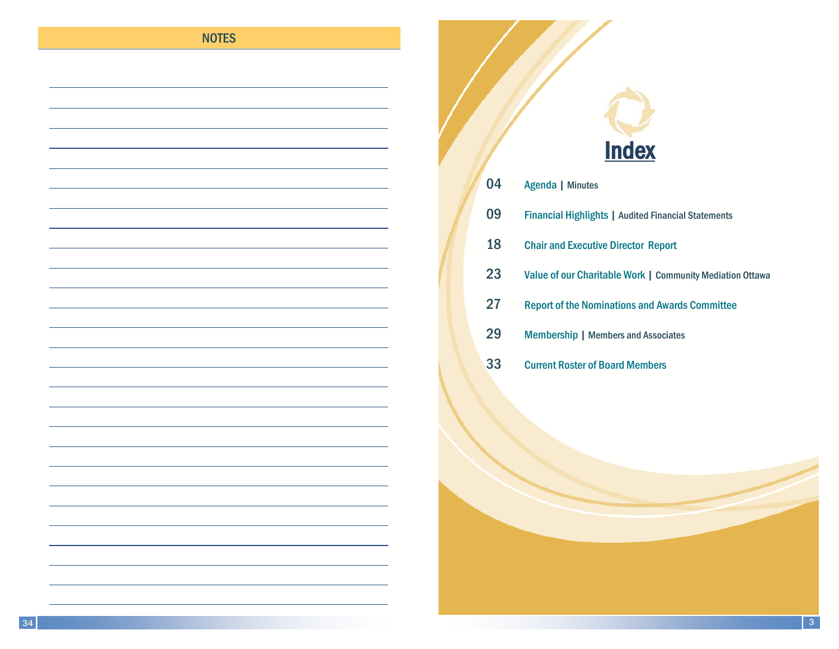### **NOTES**

# **Index**

| 04 | Agenda   Minutes                                           |
|----|------------------------------------------------------------|
| 09 | <b>Financial Highlights   Audited Financial Statements</b> |
| 18 | <b>Chair and Executive Director Report</b>                 |
| 23 | Value of our Charitable Work   Community Mediation Ottawa  |
| 27 | <b>Report of the Nominations and Awards Committee</b>      |
| 29 | <b>Membership   Members and Associates</b>                 |
| 33 | <b>Current Roster of Board Members</b>                     |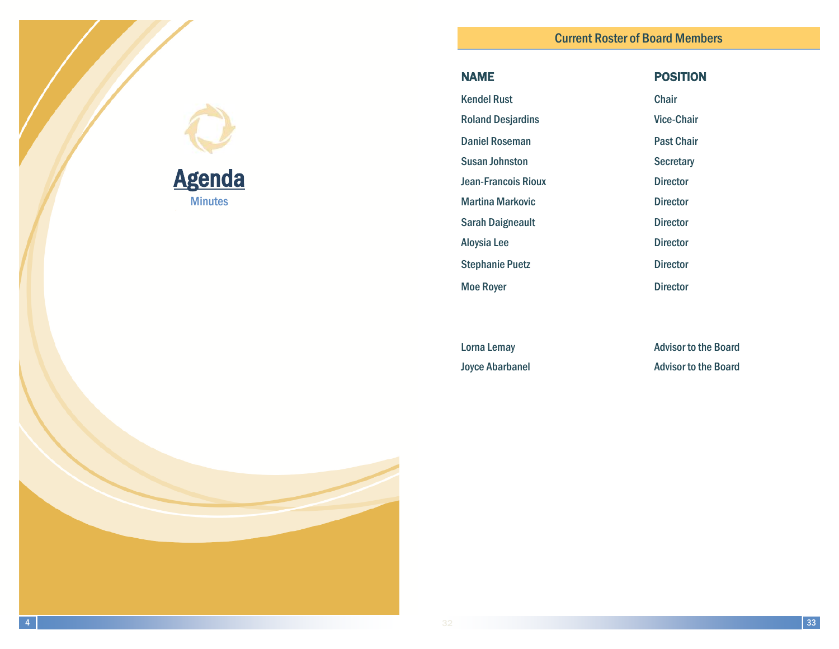| <b>NAME</b>                | <b>POSITION</b>   |
|----------------------------|-------------------|
| <b>Kendel Rust</b>         | Chair             |
| <b>Roland Desjardins</b>   | <b>Vice-Chair</b> |
| <b>Daniel Roseman</b>      | <b>Past Chair</b> |
| <b>Susan Johnston</b>      | <b>Secretary</b>  |
| <b>Jean-Francois Rioux</b> | <b>Director</b>   |
| <b>Martina Markovic</b>    | <b>Director</b>   |
| <b>Sarah Daigneault</b>    | <b>Director</b>   |
| Aloysia Lee                | <b>Director</b>   |
| <b>Stephanie Puetz</b>     | <b>Director</b>   |
| <b>Moe Royer</b>           | <b>Director</b>   |

Lorna Lemay **Advisor to the Board** Joyce Abarbanel **Advisor to the Board** 

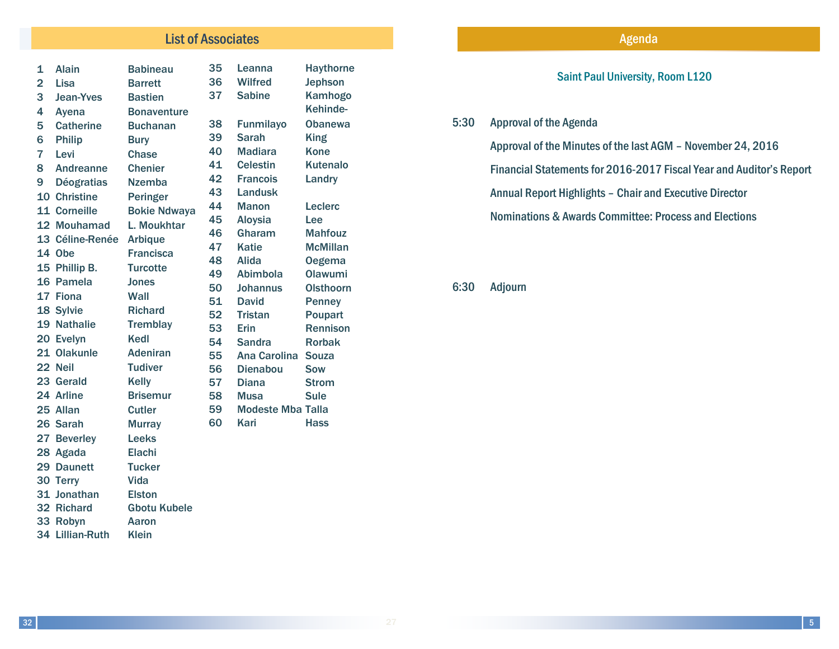### **List of Associates Agenda Agents Agents Agents Agents Agents Agents Agents Agents Agents Agents Agents Agents**

| 1              | <b>Alain</b>      | <b>Babineau</b>     | 35       | Leanna                       | <b>Haythorne</b>           |
|----------------|-------------------|---------------------|----------|------------------------------|----------------------------|
| $\overline{2}$ | Lisa              | <b>Barrett</b>      | 36       | <b>Wilfred</b>               | <b>Jephson</b>             |
| 3              | <b>Jean-Yves</b>  | <b>Bastien</b>      | 37       | <b>Sabine</b>                | Kamhogo                    |
| 4              | Ayena             | <b>Bonaventure</b>  |          |                              | Kehinde-                   |
| 5              | <b>Catherine</b>  | <b>Buchanan</b>     | 38       | <b>Funmilayo</b>             | <b>Obanewa</b>             |
| 6              | <b>Philip</b>     | <b>Bury</b>         | 39       | Sarah                        | <b>King</b>                |
| 7              | Levi              | <b>Chase</b>        | 40       | <b>Madiara</b>               | <b>Kone</b>                |
| 8              | Andreanne         | <b>Chenier</b>      | 41       | <b>Celestin</b>              | <b>Kutenalo</b>            |
| 9              | <b>Déogratias</b> | <b>Nzemba</b>       | 42       | <b>Francois</b>              | Landry                     |
|                | 10 Christine      | <b>Peringer</b>     | 43       | <b>Landusk</b>               |                            |
|                | 11 Corneille      | <b>Bokie Ndwaya</b> | 44       | <b>Manon</b>                 | Leclerc                    |
|                | 12 Mouhamad       | L. Moukhtar         | 45       | <b>Aloysia</b>               | Lee                        |
|                | 13 Céline-Renée   | <b>Arbique</b>      | 46       | Gharam                       | <b>Mahfouz</b>             |
|                | 14 Obe            | <b>Francisca</b>    | 47       | <b>Katie</b>                 | <b>McMillan</b>            |
|                | 15 Phillip B.     | <b>Turcotte</b>     | 48       | Alida                        | <b>Oegema</b>              |
|                | 16 Pamela         | <b>Jones</b>        | 49       | Abimbola                     | Olawumi                    |
|                | 17 Fiona          | Wall                | 50       | Johannus                     | <b>Olsthoorn</b>           |
|                | 18 Sylvie         | <b>Richard</b>      | 51       | <b>David</b>                 | <b>Penney</b>              |
|                | 19 Nathalie       | <b>Tremblay</b>     | 52       | <b>Tristan</b>               | Poupart<br><b>Rennison</b> |
|                | 20 Evelyn         | Kedl                | 53<br>54 | <b>Erin</b><br><b>Sandra</b> | <b>Rorbak</b>              |
|                | 21 Olakunle       | <b>Adeniran</b>     | 55       | <b>Ana Carolina</b>          | <b>Souza</b>               |
|                | 22 Neil           | <b>Tudiver</b>      | 56       | <b>Dienabou</b>              | <b>Sow</b>                 |
|                | 23 Gerald         | <b>Kelly</b>        | 57       | <b>Diana</b>                 | <b>Strom</b>               |
|                | 24 Arline         | <b>Brisemur</b>     | 58       | <b>Musa</b>                  | <b>Sule</b>                |
|                | 25 Allan          | <b>Cutler</b>       | 59       | <b>Modeste Mba Talla</b>     |                            |
|                | 26 Sarah          | <b>Murray</b>       | 60       | <b>Kari</b>                  | Hass                       |
|                | 27 Beverley       | <b>Leeks</b>        |          |                              |                            |
|                | 28 Agada          | <b>Elachi</b>       |          |                              |                            |
|                | 29 Daunett        | <b>Tucker</b>       |          |                              |                            |
|                | 30 Terry          | Vida                |          |                              |                            |
|                | 31 Jonathan       | <b>Elston</b>       |          |                              |                            |
|                | 32 Richard        | <b>Gbotu Kubele</b> |          |                              |                            |
|                | 33 Robyn          | Aaron               |          |                              |                            |
|                | 34 Lillian-Ruth   | <b>Klein</b>        |          |                              |                            |

### Saint Paul University, Room L120

### 5:30 Approval of the Agenda

Approval of the Minutes of the last AGM – November 24, 2016

Financial Statements for 2016-2017 Fiscal Year and Auditor's Report

Annual Report Highlights – Chair and Executive Director

Nominations & Awards Committee: Process and Elections

6:30 Adjourn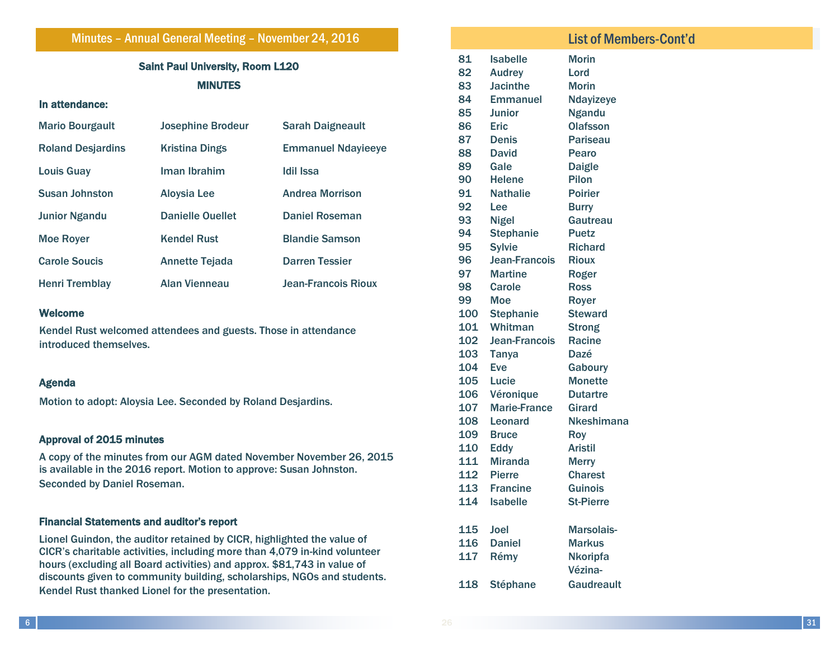Minutes – Annual General Meeting – November 24, 2016

### Saint Paul University, Room L120 **MINUTES**

### In attendance:

| <b>Mario Bourgault</b>   | <b>Josephine Brodeur</b> | <b>Sarah Daigneault</b>    |
|--------------------------|--------------------------|----------------------------|
| <b>Roland Desjardins</b> | <b>Kristina Dings</b>    | <b>Emmanuel Ndayieeye</b>  |
| <b>Louis Guay</b>        | Iman Ibrahim             | Idil Issa                  |
| <b>Susan Johnston</b>    | <b>Aloysia Lee</b>       | <b>Andrea Morrison</b>     |
| <b>Junior Ngandu</b>     | <b>Danielle Quellet</b>  | <b>Daniel Roseman</b>      |
| <b>Moe Rover</b>         | <b>Kendel Rust</b>       | <b>Blandie Samson</b>      |
| <b>Carole Soucis</b>     | <b>Annette Tejada</b>    | <b>Darren Tessier</b>      |
| Henri Tremblay           | <b>Alan Vienneau</b>     | <b>Jean-Francois Rioux</b> |

### Welcome

Kendel Rust welcomed attendees and guests. Those in attendance introduced themselves.

### Agenda

Motion to adopt: Aloysia Lee. Seconded by Roland Desjardins.

### Approval of 2015 minutes

A copy of the minutes from our AGM dated November November 26, 2015 is available in the 2016 report. Motion to approve: Susan Johnston. Seconded by Daniel Roseman.

### Financial Statements and auditor's report

Lionel Guindon, the auditor retained by CICR, highlighted the value of CICR's charitable activities, including more than 4,079 in-kind volunteer hours (excluding all Board activities) and approx. \$81,743 in value of discounts given to community building, scholarships, NGOs and students. Kendel Rust thanked Lionel for the presentation.

### List of Members—Cont'd List of Members-Cont'd81 Isabelle Morin 82 Audrey Lord 83 Jacinthe Morin 84 Emmanuel Ndayizeye 85 Junior Ngandu 86 Eric Olafsson 87 Denis Pariseau 88 David Pearo 89 Gale Daigle 90 Helene Pilon 91 Nathalie Poirier 92 Lee Burry 93 Nigel Gautreau 94 Stephanie Puetz 95 Sylvie Richard 96 Jean-Francois Rioux 97 Martine Roger 98 Carole Ross 99 Moe Royer 100 Stephanie Steward 101 Whitman Strong 102 Jean-Francois Racine 103 Tanya Dazé 104 Eve Gaboury 105 Lucie Monette 106 Véronique Dutartre 107 Marie-France Girard 108 Leonard Nkeshimana 109 Bruce Roy 110 Eddy Aristil 111 Miranda Merry 112 Pierre Charest 113 Francine Guinois 114 Isabelle St-Pierre 115 Joel Marsolais-116 Daniel Markus 117 Rémy Nkoripfa 118 Stéphane Vézina-**Gaudreault**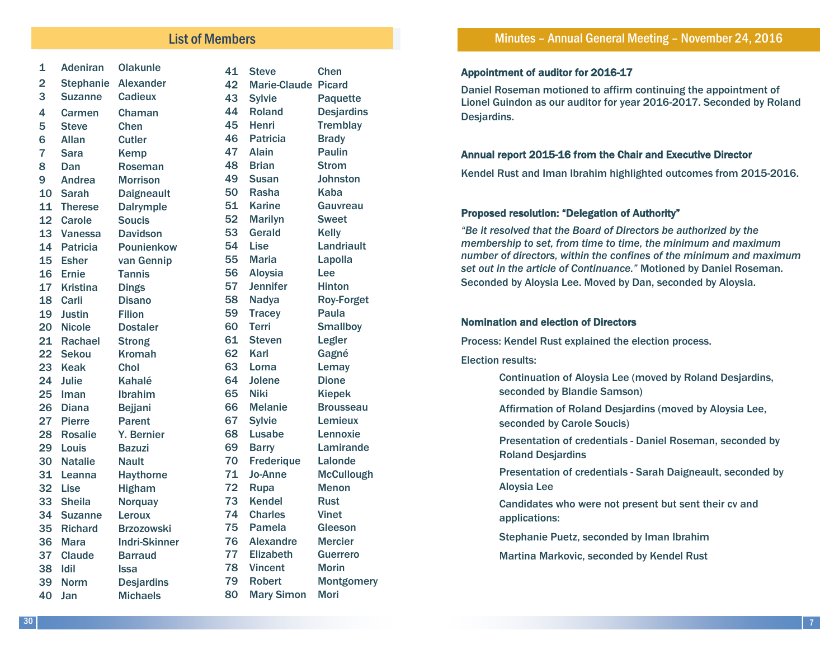### List of Members

| 1               | <b>Adeniran</b>  | <b>Olakunle</b>      | 41 | <b>St</b>      |
|-----------------|------------------|----------------------|----|----------------|
| $\overline{2}$  | <b>Stephanie</b> | <b>Alexander</b>     | 42 | M              |
| 3               | <b>Suzanne</b>   | Cadieux              | 43 | S <sub>1</sub> |
| 4               | Carmen           | Chaman               | 44 | R              |
| 5               | <b>Steve</b>     | <b>Chen</b>          | 45 | H              |
| 6               | <b>Allan</b>     | <b>Cutler</b>        | 46 | P              |
| $\overline{7}$  | <b>Sara</b>      | Kemp                 | 47 | Al             |
| 8               | Dan              | Roseman              | 48 | Bı             |
| 9               | Andrea           | <b>Morrison</b>      | 49 | S <sub>l</sub> |
| 10              | <b>Sarah</b>     | <b>Daigneault</b>    | 50 | R              |
| 11              | <b>Therese</b>   | <b>Dalrymple</b>     | 51 | Κa             |
| 12 <sub>2</sub> | Carole           | <b>Soucis</b>        | 52 | М              |
| 13              | Vanessa          | <b>Davidson</b>      | 53 | G              |
| 14              | <b>Patricia</b>  | Pounienkow           | 54 | Li             |
| 15 <sub>1</sub> | <b>Esher</b>     | van Gennip           | 55 | М              |
| 16              | <b>Ernie</b>     | <b>Tannis</b>        | 56 | Al             |
| 17              | <b>Kristina</b>  | <b>Dings</b>         | 57 | Je             |
| 18              | Carli            | <b>Disano</b>        | 58 | N <sub>i</sub> |
| 19              | <b>Justin</b>    | <b>Filion</b>        | 59 | Tr             |
| 20 <sub>2</sub> | <b>Nicole</b>    | <b>Dostaler</b>      | 60 | Te             |
| 21              | Rachael          | <b>Strong</b>        | 61 | <b>St</b>      |
| 22 <sub>2</sub> | <b>Sekou</b>     | <b>Kromah</b>        | 62 | K              |
| 23              | <b>Keak</b>      | Chol                 | 63 | Lc             |
| 24              | <b>Julie</b>     | <b>Kahalé</b>        | 64 | Jo             |
| 25              | Iman             | Ibrahim              | 65 | Ni             |
| 26              | <b>Diana</b>     | <b>Bejjani</b>       | 66 | М              |
| 27              | <b>Pierre</b>    | <b>Parent</b>        | 67 | S <sub>j</sub> |
| 28              | <b>Rosalie</b>   | Y. Bernier           | 68 | Lι             |
| 29              | Louis            | <b>Bazuzi</b>        | 69 | B              |
| 30              | <b>Natalie</b>   | <b>Nault</b>         | 70 | Fr             |
| 31              | Leanna           | <b>Haythorne</b>     | 71 | Jo             |
| 32              | Lise             | <b>Higham</b>        | 72 | Rı             |
| 33              | <b>Sheila</b>    | <b>Norquay</b>       | 73 | K <sub>t</sub> |
| 34              | <b>Suzanne</b>   | Leroux               | 74 | CI             |
| 35              | <b>Richard</b>   | <b>Brzozowski</b>    | 75 | P              |
| 36              | <b>Mara</b>      | <b>Indri-Skinner</b> | 76 | Al             |
| 37              | <b>Claude</b>    | <b>Barraud</b>       | 77 | EI             |
| 38              | <b>Idil</b>      | <b>Issa</b>          | 78 | Vi             |
| 39              | <b>Norm</b>      | <b>Desjardins</b>    | 79 | R <sub>d</sub> |
| 40              | Jan              | <b>Michaels</b>      | 80 | M              |

eve Chen: larie-Claude Picard ylvie Paquette oland Desjardins enri Tremblay atricia Brady lain **Paulin** rian Strom usan Johnston asha Kaba arine Gauvreau larilyn Sweet erald Kelly ise Landriault laria Lapolla loysia Lee ennifer Hinton adya Roy-Forget racey Paula erri Smallboy teven Legler arl Gagné orna Lemay blene Dione iki Kiepek lelanie Brousseau 67 Sylvie Lemieux usabe Lennoxie arry Lamirande rederique Lalonde 71 Jo-Anne McCullough upa Menon endel Rust harles Vinet amela Gleeson lexandre Mercier lizabeth Guerrero 78 Vincent Morin obert Montgomery lary Simon Mori

### Appointment of auditor for 2016-17

Daniel Roseman motioned to affirm continuing the appointment of Lionel Guindon as our auditor for year 2016-2017. Seconded by Roland Desjardins.

### Annual report 2015-16 from the Chair and Executive Director

Kendel Rust and Iman Ibrahim highlighted outcomes from 2015-2016.

### Proposed resolution: "Delegation of Authority"

*"Be it resolved that the Board of Directors be authorized by the membership to set, from time to time, the minimum and maximum number of directors, within the confines of the minimum and maximum set out in the article of Continuance."* Motioned by Daniel Roseman. Seconded by Aloysia Lee. Moved by Dan, seconded by Aloysia.

### Nomination and election of Directors

Process: Kendel Rust explained the election process.

Election results:

 Continuation of Aloysia Lee (moved by Roland Desjardins, seconded by Blandie Samson)

 Affirmation of Roland Desjardins (moved by Aloysia Lee, seconded by Carole Soucis)

 Presentation of credentials - Daniel Roseman, seconded by Roland Desjardins

 Presentation of credentials - Sarah Daigneault, seconded by Aloysia Lee

 Candidates who were not present but sent their cv and applications:

Stephanie Puetz, seconded by Iman Ibrahim

Martina Markovic, seconded by Kendel Rust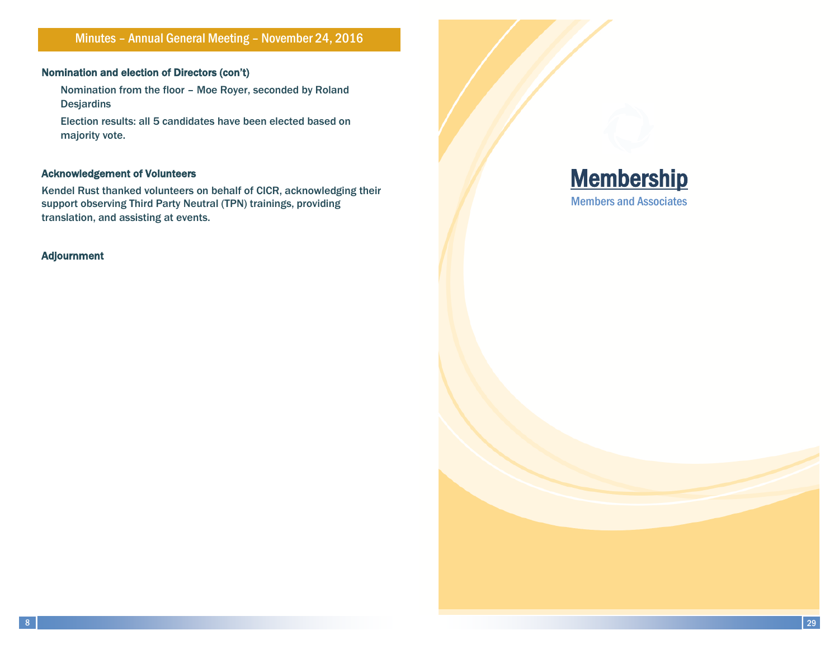Minutes – Annual General Meeting – November 24, 2016

### Nomination and election of Directors (con't)

 Nomination from the floor – Moe Royer, seconded by Roland **Desjardins** 

 Election results: all 5 candidates have been elected based on majority vote.

### Acknowledgement of Volunteers

Kendel Rust thanked volunteers on behalf of CICR, acknowledging their support observing Third Party Neutral (TPN) trainings, providing translation, and assisting at events.

### Adjournment

**Membership** Members and Associates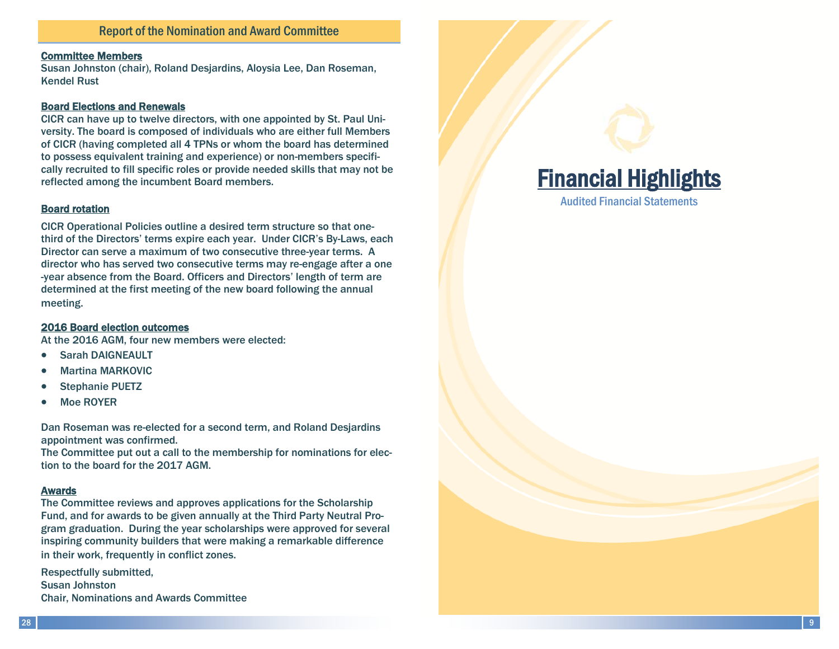### Committee Members

Susan Johnston (chair), Roland Desjardins, Aloysia Lee, Dan Roseman, Kendel Rust

### Board Elections and Renewals

CICR can have up to twelve directors, with one appointed by St. Paul University. The board is composed of individuals who are either full Members of CICR (having completed all 4 TPNs or whom the board has determined to possess equivalent training and experience) or non-members specifically recruited to fill specific roles or provide needed skills that may not be reflected among the incumbent Board members.

### Board rotation

CICR Operational Policies outline a desired term structure so that onethird of the Directors' terms expire each year. Under CICR's By-Laws, each Director can serve a maximum of two consecutive three-year terms. A director who has served two consecutive terms may re-engage after a one -year absence from the Board. Officers and Directors' length of term are determined at the first meeting of the new board following the annual meeting.

### 2016 Board election outcomes

At the 2016 AGM, four new members were elected:

- Sarah DAIGNEAULT
- Martina MARKOVIC
- Stephanie PUETZ
- Moe ROYER

Dan Roseman was re-elected for a second term, and Roland Desjardins appointment was confirmed.

The Committee put out a call to the membership for nominations for election to the board for the 2017 AGM.

### Awards

The Committee reviews and approves applications for the Scholarship Fund, and for awards to be given annually at the Third Party Neutral Program graduation. During the year scholarships were approved for several inspiring community builders that were making a remarkable difference in their work, frequently in conflict zones.

Respectfully submitted, Susan Johnston Chair, Nominations and Awards Committee

# Financial Highlights

Audited Financial Statements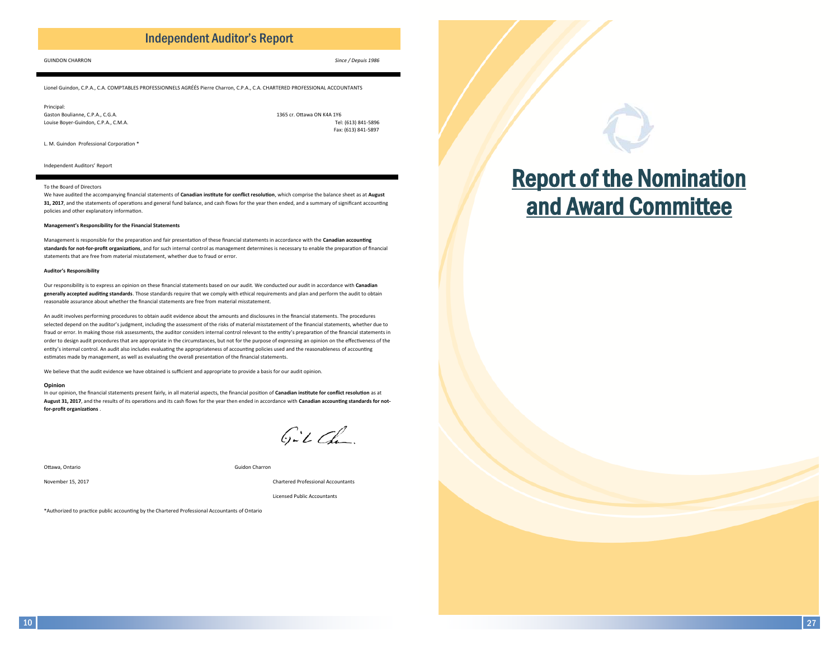### **Independent Auditor's Report**

#### **GUINDON CHARRON**

Since / Depuis 1986

Lionel Guindon, C.P.A., C.A. COMPTABLES PROFESSIONNELS AGRÉÉS Pierre Charron, C.P.A., C.A. CHARTERED PROFESSIONAL ACCOUNTANTS

Princinal Gaston Boulianne, C.P.A., C.G.A. Louise Boyer-Guindon, C.P.A., C.M.A.

1365 cr. Ottawa ON K4A 1Y6 Tel: (613) 841-5896 Fax: (613) 841-5897

L. M. Guindon Professional Corporation \*

Independent Auditors' Report

#### To the Board of Directors

We have audited the accompanying financial statements of Canadian institute for conflict resolution, which comprise the balance sheet as at August 31, 2017, and the statements of operations and general fund balance, and cash flows for the year then ended, and a summary of significant accounting policies and other explanatory information.

#### Management's Responsibility for the Financial Statements

Management is responsible for the preparation and fair presentation of these financial statements in accordance with the Canadian accounting standards for not-for-profit organizations, and for such internal control as management determines is necessary to enable the preparation of financial statements that are free from material misstatement, whether due to fraud or error.

#### **Auditor's Responsibility**

Our responsibility is to express an opinion on these financial statements based on our audit. We conducted our audit in accordance with Canadian generally accepted auditing standards. Those standards require that we comply with ethical requirements and plan and perform the audit to obtain reasonable assurance about whether the financial statements are free from material misstatement.

An audit involves performing procedures to obtain audit evidence about the amounts and disclosures in the financial statements. The procedures selected depend on the auditor's judgment, including the assessment of the risks of material misstatement of the financial statements, whether due to fraud or error. In making those risk assessments, the auditor considers internal control relevant to the entity's preparation of the financial statements in order to design audit procedures that are appropriate in the circumstances, but not for the purpose of expressing an opinion on the effectiveness of the entity's internal control. An audit also includes evaluating the appropriateness of accounting policies used and the reasonableness of accounting estimates made by management, as well as evaluating the overall presentation of the financial statements.

We believe that the audit evidence we have obtained is sufficient and appropriate to provide a basis for our audit opinion.

#### Opinion

In our opinion, the financial statements present fairly, in all material aspects, the financial position of Canadian institute for conflict resolution as at August 31, 2017, and the results of its operations and its cash flows for the year then ended in accordance with Canadian accounting standards for notfor-profit organizations

 $G-LCA$ 

Ottawa, Ontario

Guidon Charron

November 15, 2017

Chartered Professional Accountants

**Licensed Public Accountants** 

\*Authorized to practice public accounting by the Chartered Professional Accountants of Ontario

# **Report of the Nomination** and Award Committee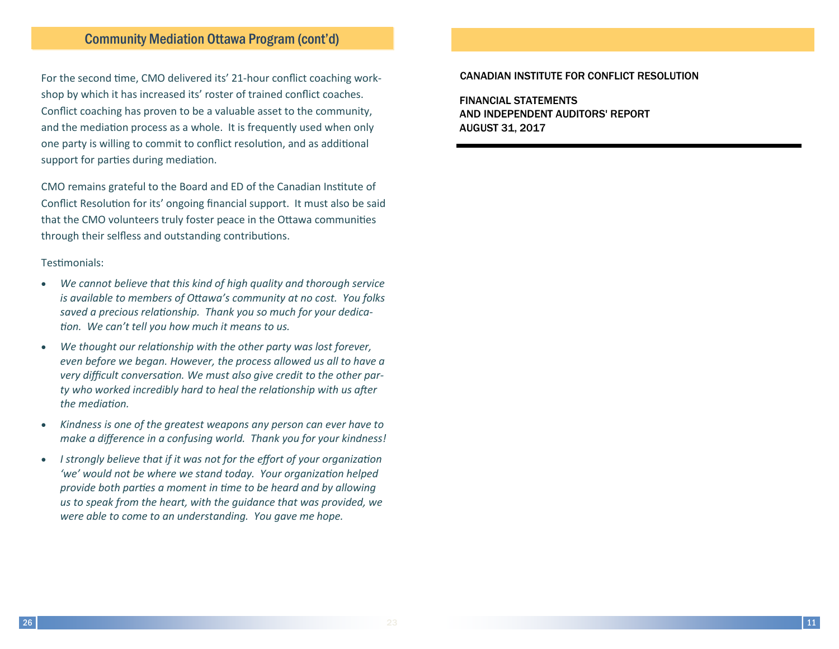For the second time, CMO delivered its' 21-hour conflict coaching workshop by which it has increased its' roster of trained conflict coaches. Conflict coaching has proven to be a valuable asset to the community, and the mediation process as a whole. It is frequently used when only one party is willing to commit to conflict resolution, and as additional support for parties during mediation.

CMO remains grateful to the Board and ED of the Canadian Institute of Conflict Resolution for its' ongoing financial support. It must also be said that the CMO volunteers truly foster peace in the Ottawa communities through their selfless and outstanding contributions.

### Testimonials:

- We cannot believe that this kind of high quality and thorough service  $\bullet$ is available to members of Ottawa's community at no cost. You folks saved a precious relationship. Thank you so much for your dedication. We can't tell you how much it means to us.
- We thought our relationship with the other party was lost forever, even before we began. However, the process allowed us all to have a very difficult conversation. We must also give credit to the other party who worked incredibly hard to heal the relationship with us after the mediation.
- Kindness is one of the greatest weapons any person can ever have to  $\bullet$ make a difference in a confusing world. Thank you for your kindness!
- I strongly believe that if it was not for the effort of your organization 'we' would not be where we stand today. Your organization helped provide both parties a moment in time to be heard and by allowing us to speak from the heart, with the quidance that was provided, we were able to come to an understanding. You gave me hope.

### **CANADIAN INSTITUTE FOR CONFLICT RESOLUTION**

**FINANCIAL STATEMENTS** AND INDEPENDENT AUDITORS' REPORT **AUGUST 31, 2017**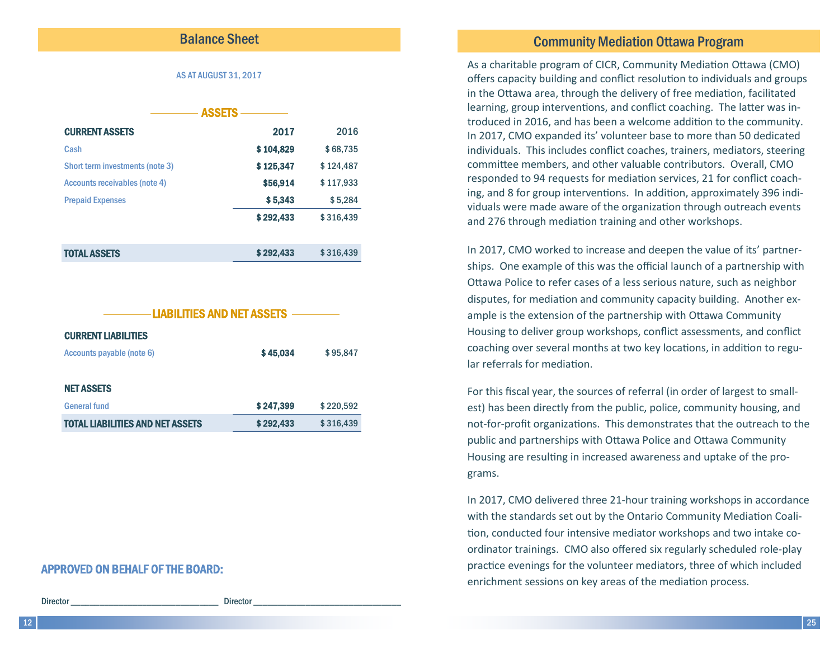### **Balance Sheet**

### **AS AT AUGUST 31, 2017**

| <b>ASSETS</b>                   |           |           |
|---------------------------------|-----------|-----------|
| <b>CURRENT ASSETS</b>           | 2017      | 2016      |
| Cash                            | \$104,829 | \$68,735  |
| Short term investments (note 3) | \$125,347 | \$124,487 |
| Accounts receivables (note 4)   | \$56,914  | \$117,933 |
| <b>Prepaid Expenses</b>         | \$5,343   | \$5,284   |
|                                 | \$292,433 | \$316,439 |
| <b>TOTAL ASSETS</b>             | \$292,433 | \$316,439 |



### **APPROVED ON BEHALF OF THE BOARD:**

**Director** 

**Director** 

### **Community Mediation Ottawa Program**

As a charitable program of CICR, Community Mediation Ottawa (CMO) offers capacity building and conflict resolution to individuals and groups in the Ottawa area, through the delivery of free mediation, facilitated learning, group interventions, and conflict coaching. The latter was introduced in 2016, and has been a welcome addition to the community. In 2017, CMO expanded its' volunteer base to more than 50 dedicated individuals. This includes conflict coaches, trainers, mediators, steering committee members, and other valuable contributors. Overall, CMO responded to 94 requests for mediation services, 21 for conflict coaching, and 8 for group interventions. In addition, approximately 396 individuals were made aware of the organization through outreach events and 276 through mediation training and other workshops.

In 2017, CMO worked to increase and deepen the value of its' partnerships. One example of this was the official launch of a partnership with Ottawa Police to refer cases of a less serious nature, such as neighbor disputes, for mediation and community capacity building. Another example is the extension of the partnership with Ottawa Community Housing to deliver group workshops, conflict assessments, and conflict coaching over several months at two key locations, in addition to regular referrals for mediation.

For this fiscal year, the sources of referral (in order of largest to smallest) has been directly from the public, police, community housing, and not-for-profit organizations. This demonstrates that the outreach to the public and partnerships with Ottawa Police and Ottawa Community Housing are resulting in increased awareness and uptake of the programs.

In 2017, CMO delivered three 21-hour training workshops in accordance with the standards set out by the Ontario Community Mediation Coalition, conducted four intensive mediator workshops and two intake coordinator trainings. CMO also offered six regularly scheduled role-play practice evenings for the volunteer mediators, three of which included enrichment sessions on key areas of the mediation process.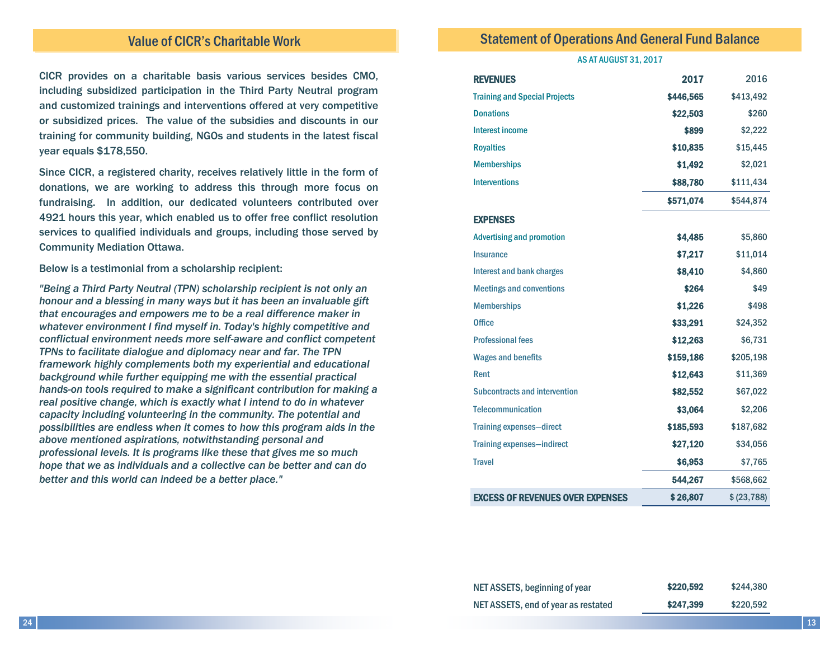### Value of CICR's Charitable Work

CICR provides on a charitable basis various services besides CMO, including subsidized participation in the Third Party Neutral program and customized trainings and interventions offered at very competitive or subsidized prices. The value of the subsidies and discounts in our training for community building, NGOs and students in the latest fiscal year equals \$178,550.

Since CICR, a registered charity, receives relatively little in the form of donations, we are working to address this through more focus on fundraising. In addition, our dedicated volunteers contributed over 4921 hours this year, which enabled us to offer free conflict resolution services to qualified individuals and groups, including those served by Community Mediation Ottawa.

Below is a testimonial from a scholarship recipient:

*"Being a Third Party Neutral (TPN) scholarship recipient is not only an honour and a blessing in many ways but it has been an invaluable gift that encourages and empowers me to be a real difference maker in whatever environment I find myself in. Today's highly competitive and conflictual environment needs more self-aware and conflict competent TPNs to facilitate dialogue and diplomacy near and far. The TPN framework highly complements both my experiential and educational background while further equipping me with the essential practical hands-on tools required to make a significant contribution for making a real positive change, which is exactly what I intend to do in whatever capacity including volunteering in the community. The potential and possibilities are endless when it comes to how this program aids in the above mentioned aspirations, notwithstanding personal and professional levels. It is programs like these that gives me so much hope that we as individuals and a collective can be better and can do better and this world can indeed be a better place."* 

### Statement of Operations And General Fund Balance

#### AS AT AUGUST 31, 2017

| <b>REVENUES</b>                         | 2017      | 2016         |
|-----------------------------------------|-----------|--------------|
| <b>Training and Special Projects</b>    | \$446,565 | \$413,492    |
| <b>Donations</b>                        | \$22,503  | \$260        |
| <b>Interest income</b>                  | \$899     | \$2,222      |
| <b>Royalties</b>                        | \$10,835  | \$15,445     |
| <b>Memberships</b>                      | \$1,492   | \$2,021      |
| <b>Interventions</b>                    | \$88,780  | \$111,434    |
|                                         | \$571,074 | \$544,874    |
| <b>EXPENSES</b>                         |           |              |
| <b>Advertising and promotion</b>        | \$4,485   | \$5,860      |
| <b>Insurance</b>                        | \$7,217   | \$11,014     |
| <b>Interest and bank charges</b>        | \$8,410   | \$4,860      |
| <b>Meetings and conventions</b>         | \$264     | \$49         |
| <b>Memberships</b>                      | \$1,226   | \$498        |
| <b>Office</b>                           | \$33,291  | \$24,352     |
| <b>Professional fees</b>                | \$12,263  | \$6,731      |
| <b>Wages and benefits</b>               | \$159,186 | \$205,198    |
| Rent                                    | \$12,643  | \$11,369     |
| <b>Subcontracts and intervention</b>    | \$82,552  | \$67,022     |
| <b>Telecommunication</b>                | \$3,064   | \$2,206      |
| <b>Training expenses-direct</b>         | \$185,593 | \$187,682    |
| <b>Training expenses-indirect</b>       | \$27,120  | \$34,056     |
| <b>Travel</b>                           | \$6,953   | \$7,765      |
|                                         | 544,267   | \$568,662    |
| <b>EXCESS OF REVENUES OVER EXPENSES</b> | \$26,807  | \$ (23, 788) |

| NET ASSETS, beginning of year       | \$220,592 | \$244,380 |
|-------------------------------------|-----------|-----------|
| NET ASSETS, end of year as restated | \$247,399 | \$220,592 |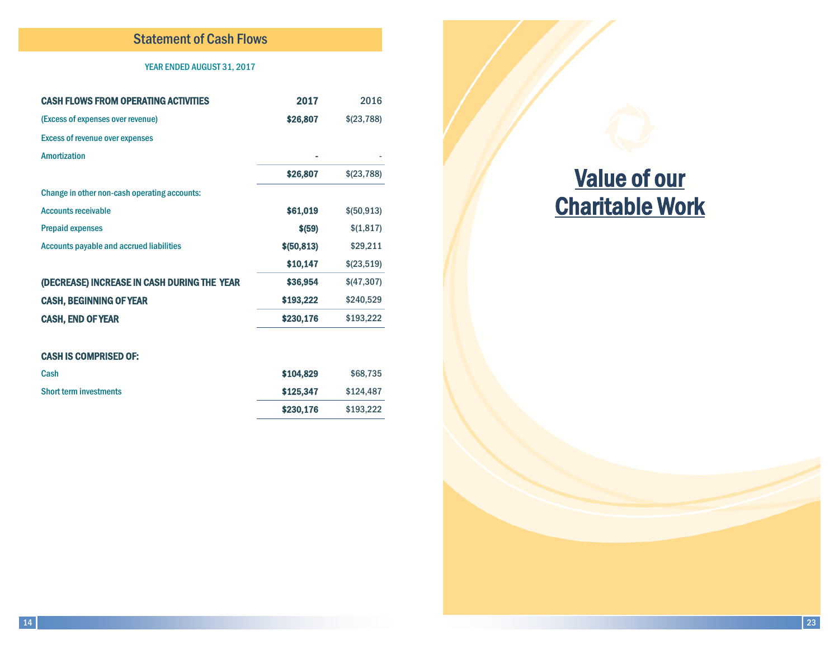### Statement of Cash Flows

### YEAR ENDED AUGUST 31, 2017

| <b>CASH FLOWS FROM OPERATING ACTIVITIES</b>     | 2017         | 2016         |
|-------------------------------------------------|--------------|--------------|
| (Excess of expenses over revenue)               | \$26,807     | \$(23,788)   |
| <b>Excess of revenue over expenses</b>          |              |              |
| <b>Amortization</b>                             |              |              |
|                                                 | \$26,807     | \$(23,788)   |
| Change in other non-cash operating accounts:    |              |              |
| <b>Accounts receivable</b>                      | \$61,019     | \$ (50, 913) |
| <b>Prepaid expenses</b>                         | \$ (59)      | \$(1,817)    |
| <b>Accounts payable and accrued liabilities</b> | \$ (50, 813) | \$29,211     |
|                                                 | \$10,147     | \$(23,519)   |
| (DECREASE) INCREASE IN CASH DURING THE YEAR     | \$36,954     | \$(47,307)   |
| <b>CASH, BEGINNING OF YEAR</b>                  | \$193,222    | \$240,529    |
| <b>CASH, END OF YEAR</b>                        | \$230,176    | \$193,222    |
|                                                 |              |              |
| <b>CASH IS COMPRISED OF:</b>                    |              |              |
| Cash                                            | \$104,829    | \$68,735     |
| <b>Short term investments</b>                   | \$125,347    | \$124,487    |

\$230,176 \$193,222

# Value of our Charitable Work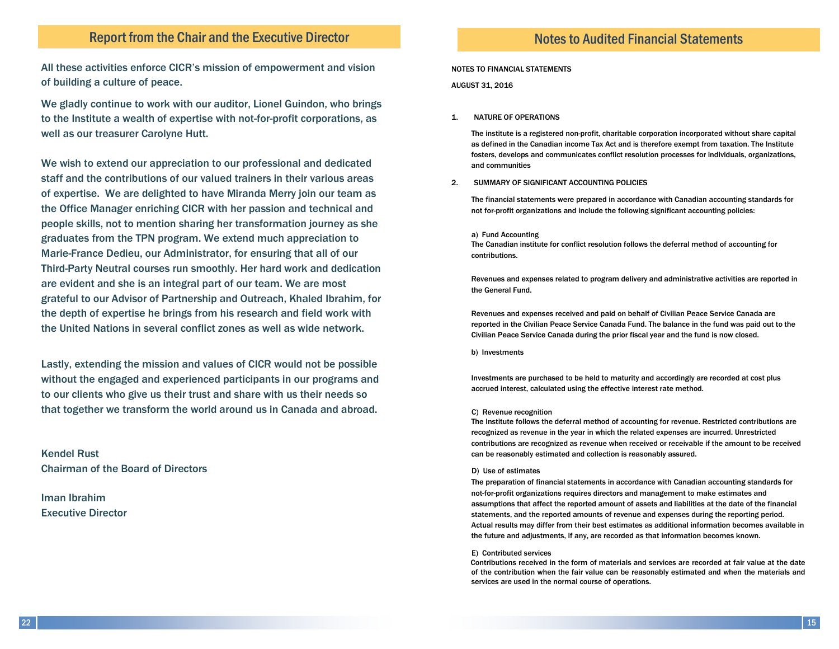### Report from the Chair and the Executive Director

All these activities enforce CICR's mission of empowerment and vision of building a culture of peace.

We gladly continue to work with our auditor, Lionel Guindon, who brings to the Institute a wealth of expertise with not-for-profit corporations, as well as our treasurer Carolyne Hutt.

We wish to extend our appreciation to our professional and dedicated staff and the contributions of our valued trainers in their various areas of expertise. We are delighted to have Miranda Merry join our team as the Office Manager enriching CICR with her passion and technical and people skills, not to mention sharing her transformation journey as she graduates from the TPN program. We extend much appreciation to Marie-France Dedieu, our Administrator, for ensuring that all of our Third-Party Neutral courses run smoothly. Her hard work and dedication are evident and she is an integral part of our team. We are most grateful to our Advisor of Partnership and Outreach, Khaled Ibrahim, for the depth of expertise he brings from his research and field work with the United Nations in several conflict zones as well as wide network.

Lastly, extending the mission and values of CICR would not be possible without the engaged and experienced participants in our programs and to our clients who give us their trust and share with us their needs so that together we transform the world around us in Canada and abroad.

Kendel Rust Chairman of the Board of Directors

Iman Ibrahim Executive Director

### Notes to Audited Financial Statements

#### NOTES TO FINANCIAL STATEMENTS

AUGUST 31, 2016

#### 1. NATURE OF OPERATIONS

The institute is a registered non-profit, charitable corporation incorporated without share capital as defined in the Canadian income Tax Act and is therefore exempt from taxation. The Institute fosters, develops and communicates conflict resolution processes for individuals, organizations, and communities

#### 2. SUMMARY OF SIGNIFICANT ACCOUNTING POLICIES

The financial statements were prepared in accordance with Canadian accounting standards for not for-profit organizations and include the following significant accounting policies:

#### a) Fund Accounting

The Canadian institute for conflict resolution follows the deferral method of accounting for contributions.

Revenues and expenses related to program delivery and administrative activities are reported in the General Fund.

Revenues and expenses received and paid on behalf of Civilian Peace Service Canada are reported in the Civilian Peace Service Canada Fund. The balance in the fund was paid out to the Civilian Peace Service Canada during the prior fiscal year and the fund is now closed.

b) Investments

Investments are purchased to be held to maturity and accordingly are recorded at cost plus accrued interest, calculated using the effective interest rate method.

#### C) Revenue recognition

The Institute follows the deferral method of accounting for revenue. Restricted contributions are recognized as revenue in the year in which the related expenses are incurred. Unrestricted contributions are recognized as revenue when received or receivable if the amount to be received can be reasonably estimated and collection is reasonably assured.

#### D) Use of estimates

The preparation of financial statements in accordance with Canadian accounting standards for not-for-profit organizations requires directors and management to make estimates and assumptions that affect the reported amount of assets and liabilities at the date of the financial statements, and the reported amounts of revenue and expenses during the reporting period. Actual results may differ from their best estimates as additional information becomes available in the future and adjustments, if any, are recorded as that information becomes known.

#### E) Contributed services

Contributions received in the form of materials and services are recorded at fair value at the date of the contribution when the fair value can be reasonably estimated and when the materials and services are used in the normal course of operations.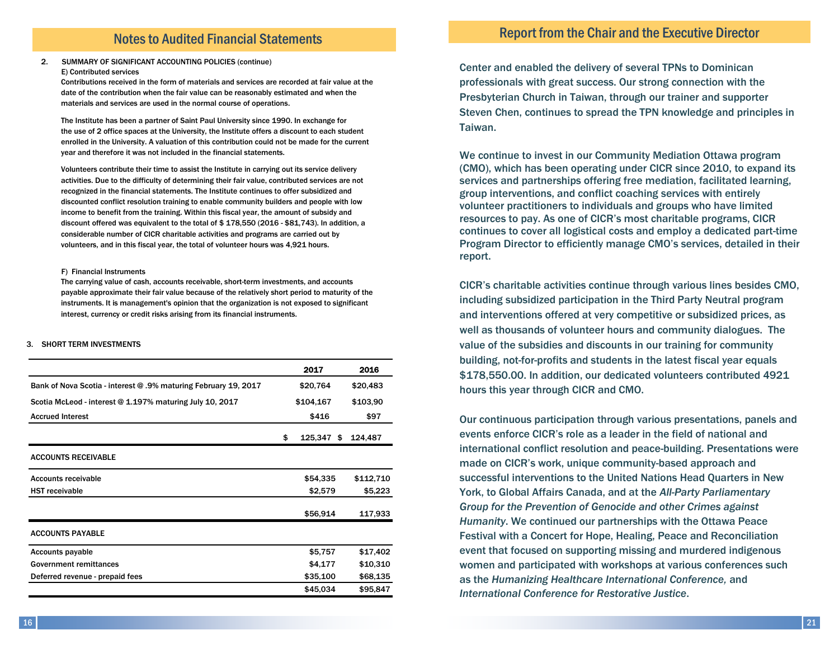### Notes to Audited Financial Statements

#### 2. SUMMARY OF SIGNIFICANT ACCOUNTING POLICIES (continue)

#### E) Contributed services

Contributions received in the form of materials and services are recorded at fair value at the date of the contribution when the fair value can be reasonably estimated and when the materials and services are used in the normal course of operations.

The Institute has been a partner of Saint Paul University since 1990. In exchange for the use of 2 office spaces at the University, the Institute offers a discount to each student enrolled in the University. A valuation of this contribution could not be made for the current year and therefore it was not included in the financial statements.

Volunteers contribute their time to assist the Institute in carrying out its service delivery activities. Due to the difficulty of determining their fair value, contributed services are not recognized in the financial statements. The Institute continues to offer subsidized and discounted conflict resolution training to enable community builders and people with low income to benefit from the training. Within this fiscal year, the amount of subsidy and discount offered was equivalent to the total of \$ 178,550 (2016 - \$81,743). In addition, a considerable number of CICR charitable activities and programs are carried out by volunteers, and in this fiscal year, the total of volunteer hours was 4,921 hours.

#### F) Financial Instruments

The carrying value of cash, accounts receivable, short-term investments, and accounts payable approximate their fair value because of the relatively short period to maturity of the instruments. It is management's opinion that the organization is not exposed to significant interest, currency or credit risks arising from its financial instruments.

#### 3. SHORT TERM INVESTMENTS

|                                                                 | 2017                | 2016      |
|-----------------------------------------------------------------|---------------------|-----------|
| Bank of Nova Scotia - interest @ .9% maturing February 19, 2017 | \$20,764            | \$20,483  |
| Scotia McLeod - interest @ 1.197% maturing July 10, 2017        | \$104,167           | \$103,90  |
| <b>Accrued Interest</b>                                         | \$416               | \$97      |
|                                                                 | \$<br>125,347<br>\$ | 124,487   |
| <b>ACCOUNTS RECEIVABLE</b>                                      |                     |           |
| <b>Accounts receivable</b>                                      | \$54,335            | \$112,710 |
| <b>HST</b> receivable                                           | \$2,579             | \$5,223   |
|                                                                 | \$56,914            | 117,933   |
| <b>ACCOUNTS PAYABLE</b>                                         |                     |           |
| <b>Accounts payable</b>                                         | \$5,757             | \$17,402  |
| <b>Government remittances</b>                                   | \$4,177             | \$10,310  |
| Deferred revenue - prepaid fees                                 | \$35,100            | \$68,135  |
|                                                                 | \$45,034            | \$95,847  |

### Report from the Chair and the Executive Director

Center and enabled the delivery of several TPNs to Dominican professionals with great success. Our strong connection with the Presbyterian Church in Taiwan, through our trainer and supporter Steven Chen, continues to spread the TPN knowledge and principles in Taiwan.

We continue to invest in our Community Mediation Ottawa program (CMO), which has been operating under CICR since 2010, to expand its services and partnerships offering free mediation, facilitated learning, group interventions, and conflict coaching services with entirely volunteer practitioners to individuals and groups who have limited resources to pay. As one of CICR's most charitable programs, CICR continues to cover all logistical costs and employ a dedicated part-time Program Director to efficiently manage CMO's services, detailed in their report.

CICR's charitable activities continue through various lines besides CMO, including subsidized participation in the Third Party Neutral program and interventions offered at very competitive or subsidized prices, as well as thousands of volunteer hours and community dialogues. The value of the subsidies and discounts in our training for community building, not-for-profits and students in the latest fiscal year equals \$178,550.00. In addition, our dedicated volunteers contributed 4921 hours this year through CICR and CMO.

Our continuous participation through various presentations, panels and events enforce CICR's role as a leader in the field of national and international conflict resolution and peace-building. Presentations were made on CICR's work, unique community-based approach and successful interventions to the United Nations Head Quarters in New York, to Global Affairs Canada, and at the *All-Party Parliamentary Group for the Prevention of Genocide and other Crimes against Humanity*. We continued our partnerships with the Ottawa Peace Festival with a Concert for Hope, Healing, Peace and Reconciliation event that focused on supporting missing and murdered indigenous women and participated with workshops at various conferences such as the *Humanizing Healthcare International Conference,* and *International Conference for Restorative Justice*.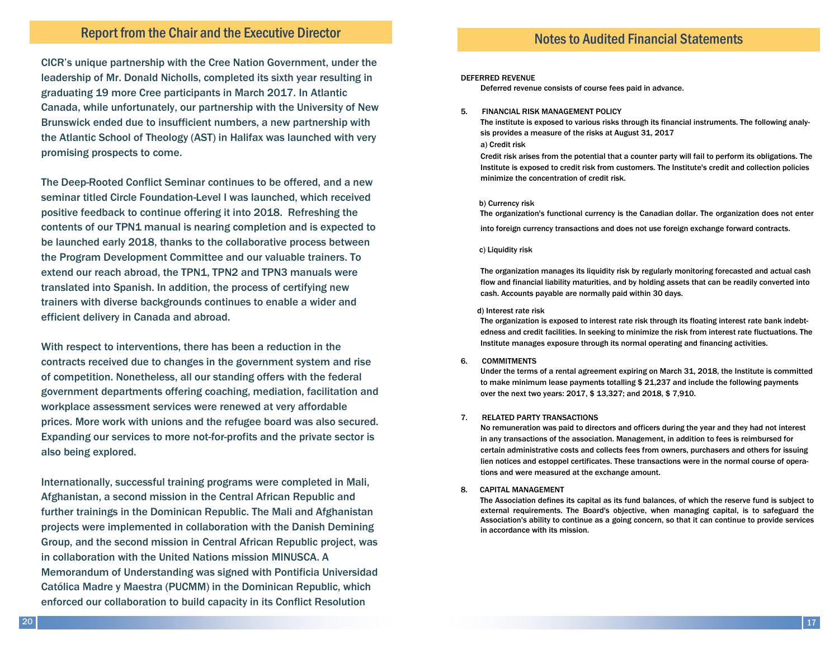### Report from the Chair and the Executive Director

CICR's unique partnership with the Cree Nation Government, under the leadership of Mr. Donald Nicholls, completed its sixth year resulting in graduating 19 more Cree participants in March 2017. In Atlantic Canada, while unfortunately, our partnership with the University of New Brunswick ended due to insufficient numbers, a new partnership with the Atlantic School of Theology (AST) in Halifax was launched with very promising prospects to come.

The Deep-Rooted Conflict Seminar continues to be offered, and a new seminar titled Circle Foundation-Level I was launched, which received positive feedback to continue offering it into 2018. Refreshing the contents of our TPN1 manual is nearing completion and is expected to be launched early 2018, thanks to the collaborative process between the Program Development Committee and our valuable trainers. To extend our reach abroad, the TPN1, TPN2 and TPN3 manuals were translated into Spanish. In addition, the process of certifying new trainers with diverse backgrounds continues to enable a wider and efficient delivery in Canada and abroad.

With respect to interventions, there has been a reduction in the contracts received due to changes in the government system and rise of competition. Nonetheless, all our standing offers with the federal government departments offering coaching, mediation, facilitation and workplace assessment services were renewed at very affordable prices. More work with unions and the refugee board was also secured. Expanding our services to more not-for-profits and the private sector is also being explored.

Internationally, successful training programs were completed in Mali, Afghanistan, a second mission in the Central African Republic and further trainings in the Dominican Republic. The Mali and Afghanistan projects were implemented in collaboration with the Danish Demining Group, and the second mission in Central African Republic project, was in collaboration with the United Nations mission MINUSCA. A Memorandum of Understanding was signed with Pontificia Universidad Católica Madre y Maestra (PUCMM) in the Dominican Republic, which enforced our collaboration to build capacity in its Conflict Resolution

### Notes to Audited Financial Statements

#### DEFERRED REVENUE

Deferred revenue consists of course fees paid in advance.

#### 5. FINANCIAL RISK MANAGEMENT POLICY

The institute is exposed to various risks through its financial instruments. The following analysis provides a measure of the risks at August 31, 2017

#### a) Credit risk

Credit risk arises from the potential that a counter party will fail to perform its obligations. The Institute is exposed to credit risk from customers. The Institute's credit and collection policies minimize the concentration of credit risk.

#### b) Currency risk

The organization's functional currency is the Canadian dollar. The organization does not enter into foreign currency transactions and does not use foreign exchange forward contracts.

#### c) Liquidity risk

The organization manages its liquidity risk by regularly monitoring forecasted and actual cash flow and financial liability maturities, and by holding assets that can be readily converted into cash. Accounts payable are normally paid within 30 days.

#### d) Interest rate risk

The organization is exposed to interest rate risk through its floating interest rate bank indebtedness and credit facilities. In seeking to minimize the risk from interest rate fluctuations. The Institute manages exposure through its normal operating and financing activities.

#### 6. COMMITMENTS

Under the terms of a rental agreement expiring on March 31, 2018, the Institute is committed to make minimum lease payments totalling \$ 21,237 and include the following payments over the next two years: 2017, \$ 13,327; and 2018, \$ 7,910.

#### 7. RELATED PARTY TRANSACTIONS

No remuneration was paid to directors and officers during the year and they had not interest in any transactions of the association. Management, in addition to fees is reimbursed for certain administrative costs and collects fees from owners, purchasers and others for issuing lien notices and estoppel certificates. These transactions were in the normal course of operations and were measured at the exchange amount.

#### 8. CAPITAL MANAGEMENT

The Association defines its capital as its fund balances, of which the reserve fund is subject to external requirements. The Board's objective, when managing capital, is to safeguard the Association's ability to continue as a going concern, so that it can continue to provide services in accordance with its mission.